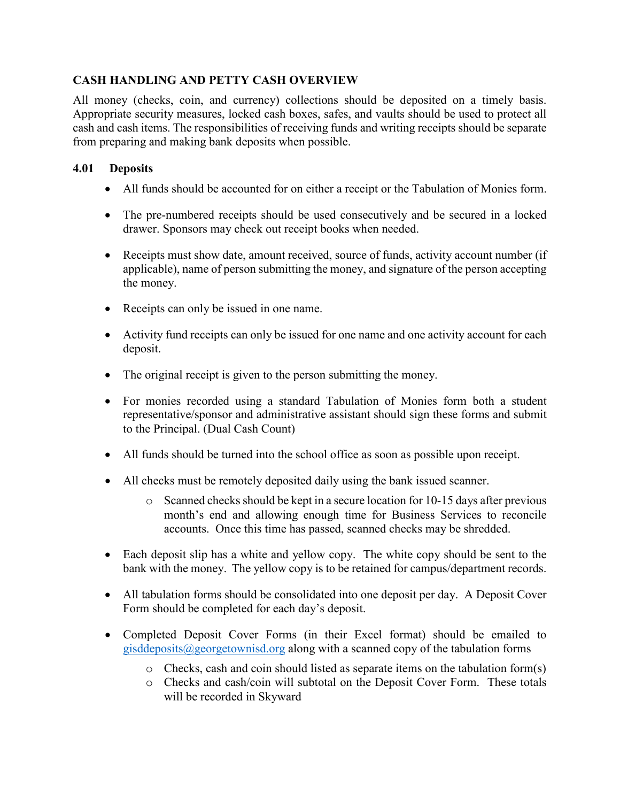# **CASH HANDLING AND PETTY CASH OVERVIEW**

All money (checks, coin, and currency) collections should be deposited on a timely basis. Appropriate security measures, locked cash boxes, safes, and vaults should be used to protect all cash and cash items. The responsibilities of receiving funds and writing receipts should be separate from preparing and making bank deposits when possible.

# **4.01 Deposits**

- All funds should be accounted for on either a receipt or the Tabulation of Monies form.
- The pre-numbered receipts should be used consecutively and be secured in a locked drawer. Sponsors may check out receipt books when needed.
- Receipts must show date, amount received, source of funds, activity account number (if applicable), name of person submitting the money, and signature of the person accepting the money.
- Receipts can only be issued in one name.
- Activity fund receipts can only be issued for one name and one activity account for each deposit.
- The original receipt is given to the person submitting the money.
- For monies recorded using a standard Tabulation of Monies form both a student representative/sponsor and administrative assistant should sign these forms and submit to the Principal. (Dual Cash Count)
- All funds should be turned into the school office as soon as possible upon receipt.
- All checks must be remotely deposited daily using the bank issued scanner.
	- o Scanned checks should be kept in a secure location for 10-15 days after previous month's end and allowing enough time for Business Services to reconcile accounts. Once this time has passed, scanned checks may be shredded.
- Each deposit slip has a white and yellow copy. The white copy should be sent to the bank with the money. The yellow copy is to be retained for campus/department records.
- All tabulation forms should be consolidated into one deposit per day. A Deposit Cover Form should be completed for each day's deposit.
- Completed Deposit Cover Forms (in their Excel format) should be emailed to [gisddeposits@georgetownisd.org](mailto:gisddeposits@georgetownisd.org) along with a scanned copy of the tabulation forms
	- o Checks, cash and coin should listed as separate items on the tabulation form(s)
	- o Checks and cash/coin will subtotal on the Deposit Cover Form. These totals will be recorded in Skyward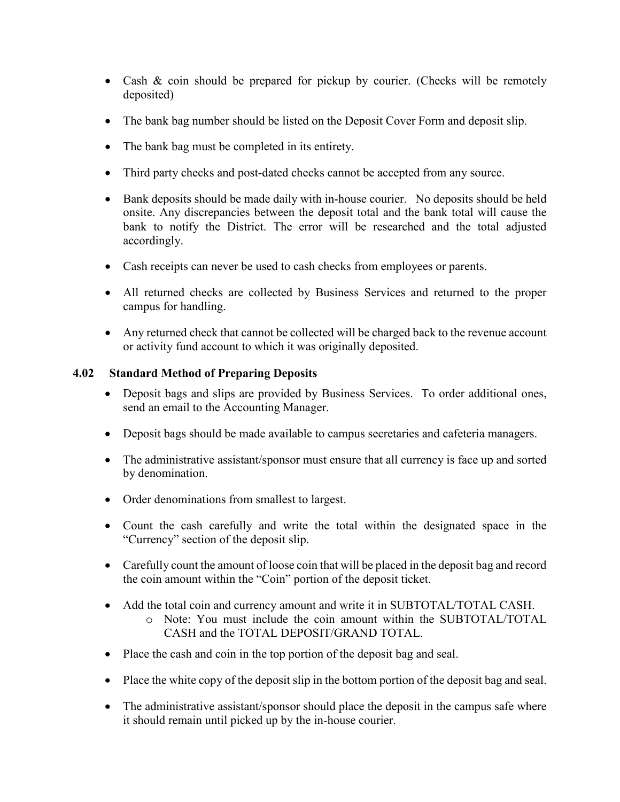- Cash & coin should be prepared for pickup by courier. (Checks will be remotely deposited)
- The bank bag number should be listed on the Deposit Cover Form and deposit slip.
- The bank bag must be completed in its entirety.
- Third party checks and post-dated checks cannot be accepted from any source.
- Bank deposits should be made daily with in-house courier. No deposits should be held onsite. Any discrepancies between the deposit total and the bank total will cause the bank to notify the District. The error will be researched and the total adjusted accordingly.
- Cash receipts can never be used to cash checks from employees or parents.
- All returned checks are collected by Business Services and returned to the proper campus for handling.
- Any returned check that cannot be collected will be charged back to the revenue account or activity fund account to which it was originally deposited.

#### **4.02 Standard Method of Preparing Deposits**

- Deposit bags and slips are provided by Business Services. To order additional ones, send an email to the Accounting Manager.
- Deposit bags should be made available to campus secretaries and cafeteria managers.
- The administrative assistant/sponsor must ensure that all currency is face up and sorted by denomination.
- Order denominations from smallest to largest.
- Count the cash carefully and write the total within the designated space in the "Currency" section of the deposit slip.
- Carefully count the amount of loose coin that will be placed in the deposit bag and record the coin amount within the "Coin" portion of the deposit ticket.
- Add the total coin and currency amount and write it in SUBTOTAL/TOTAL CASH.
	- o Note: You must include the coin amount within the SUBTOTAL/TOTAL CASH and the TOTAL DEPOSIT/GRAND TOTAL.
- Place the cash and coin in the top portion of the deposit bag and seal.
- Place the white copy of the deposit slip in the bottom portion of the deposit bag and seal.
- The administrative assistant/sponsor should place the deposit in the campus safe where it should remain until picked up by the in-house courier.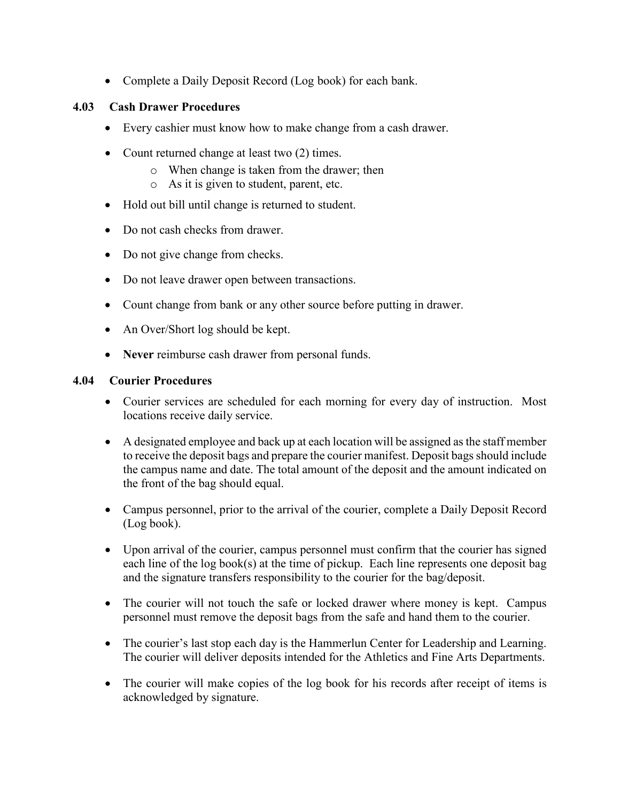• Complete a Daily Deposit Record (Log book) for each bank.

# **4.03 Cash Drawer Procedures**

- Every cashier must know how to make change from a cash drawer.
- Count returned change at least two (2) times.
	- o When change is taken from the drawer; then
	- o As it is given to student, parent, etc.
- Hold out bill until change is returned to student.
- Do not cash checks from drawer.
- Do not give change from checks.
- Do not leave drawer open between transactions.
- Count change from bank or any other source before putting in drawer.
- An Over/Short log should be kept.
- **Never** reimburse cash drawer from personal funds.

#### **4.04 Courier Procedures**

- Courier services are scheduled for each morning for every day of instruction. Most locations receive daily service.
- A designated employee and back up at each location will be assigned as the staff member to receive the deposit bags and prepare the courier manifest. Deposit bags should include the campus name and date. The total amount of the deposit and the amount indicated on the front of the bag should equal.
- Campus personnel, prior to the arrival of the courier, complete a Daily Deposit Record (Log book).
- Upon arrival of the courier, campus personnel must confirm that the courier has signed each line of the log book(s) at the time of pickup. Each line represents one deposit bag and the signature transfers responsibility to the courier for the bag/deposit.
- The courier will not touch the safe or locked drawer where money is kept. Campus personnel must remove the deposit bags from the safe and hand them to the courier.
- The courier's last stop each day is the Hammerlun Center for Leadership and Learning. The courier will deliver deposits intended for the Athletics and Fine Arts Departments.
- The courier will make copies of the log book for his records after receipt of items is acknowledged by signature.